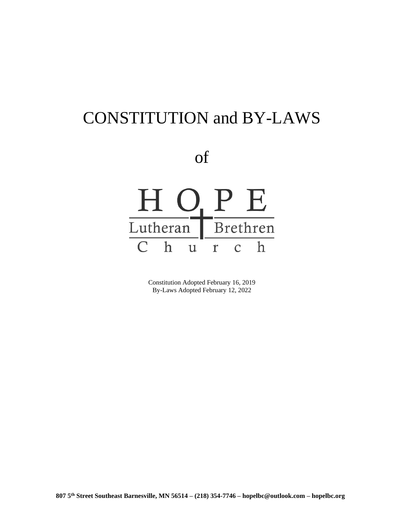# CONSTITUTION and BY-LAWS

of



Constitution Adopted February 16, 2019 By-Laws Adopted February 12, 2022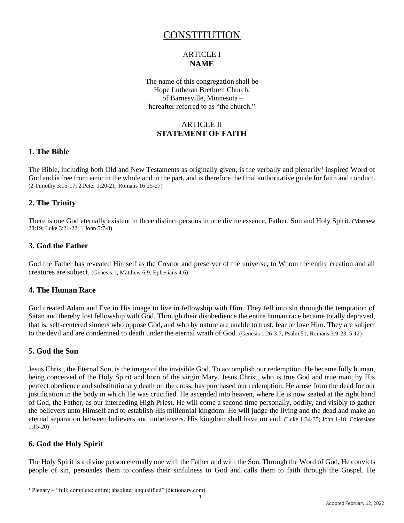# CONSTITUTION

# ARTICLE I **NAME**

The name of this congregation shall be Hope Lutheran Brethren Church, of Barnesville, Minnesota – hereafter referred to as "the church."

# ARTICLE II **STATEMENT OF FAITH**

# **1. The Bible**

The Bible, including both Old and New Testaments as originally given, is the verbally and plenarily<sup>1</sup> inspired Word of God and is free from error in the whole and in the part, and is therefore the final authoritative guide for faith and conduct. (2 Timothy 3:15-17; 2 Peter 1:20-21; Romans 16:25-27)

# **2. The Trinity**

There is one God eternally existent in three distinct persons in one divine essence, Father, Son and Holy Spirit. (Matthew 28:19; Luke 3:21-22; 1 John 5:7-8)

# **3. God the Father**

God the Father has revealed Himself as the Creator and preserver of the universe, to Whom the entire creation and all creatures are subject. (Genesis 1; Matthew 6:9; Ephesians 4:6)

# **4. The Human Race**

God created Adam and Eve in His image to live in fellowship with Him. They fell into sin through the temptation of Satan and thereby lost fellowship with God. Through their disobedience the entire human race became totally depraved, that is, self-centered sinners who oppose God, and who by nature are unable to trust, fear or love Him. They are subject to the devil and are condemned to death under the eternal wrath of God. (Genesis 1:26-3:7; Psalm 51; Romans 3:9-23, 5:12)

# **5. God the Son**

Jesus Christ, the Eternal Son, is the image of the invisible God. To accomplish our redemption, He became fully human, being conceived of the Holy Spirit and born of the virgin Mary. Jesus Christ, who is true God and true man, by His perfect obedience and substitutionary death on the cross, has purchased our redemption. He arose from the dead for our justification in the body in which He was crucified. He ascended into heaven, where He is now seated at the right hand of God, the Father, as our interceding High Priest. He will come a second time personally, bodily, and visibly to gather the believers unto Himself and to establish His millennial kingdom. He will judge the living and the dead and make an eternal separation between believers and unbelievers. His kingdom shall have no end. (Luke 1:34-35; John 1-18; Colossians 1:15-20)

# **6. God the Holy Spirit**

The Holy Spirit is a divine person eternally one with the Father and with the Son. Through the Word of God, He convicts people of sin, persuades them to confess their sinfulness to God and calls them to faith through the Gospel. He

<sup>&</sup>lt;sup>1</sup> Plenary – "full; complete; entire; absolute; unqualified" (dictionary.com)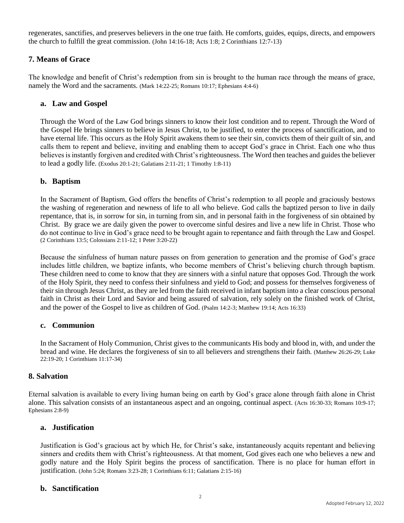regenerates, sanctifies, and preserves believers in the one true faith. He comforts, guides, equips, directs, and empowers the church to fulfill the great commission. (John 14:16-18; Acts 1:8; 2 Corinthians 12:7-13)

# **7. Means of Grace**

The knowledge and benefit of Christ's redemption from sin is brought to the human race through the means of grace, namely the Word and the sacraments. (Mark 14:22-25; Romans 10:17; Ephesians 4:4-6)

# **a. Law and Gospel**

Through the Word of the Law God brings sinners to know their lost condition and to repent. Through the Word of the Gospel He brings sinners to believe in Jesus Christ, to be justified, to enter the process of sanctification, and to have eternal life. This occurs as the Holy Spirit awakens them to see their sin, convicts them of their guilt of sin, and calls them to repent and believe, inviting and enabling them to accept God's grace in Christ. Each one who thus believes is instantly forgiven and credited with Christ's righteousness. The Word then teaches and guides the believer to lead a godly life. (Exodus 20:1-21; Galatians 2:11-21; 1 Timothy 1:8-11)

# **b. Baptism**

In the Sacrament of Baptism, God offers the benefits of Christ's redemption to all people and graciously bestows the washing of regeneration and newness of life to all who believe. God calls the baptized person to live in daily repentance, that is, in sorrow for sin, in turning from sin, and in personal faith in the forgiveness of sin obtained by Christ. By grace we are daily given the power to overcome sinful desires and live a new life in Christ. Those who do not continue to live in God's grace need to be brought again to repentance and faith through the Law and Gospel. (2 Corinthians 13:5; Colossians 2:11-12; 1 Peter 3:20-22)

Because the sinfulness of human nature passes on from generation to generation and the promise of God's grace includes little children, we baptize infants, who become members of Christ's believing church through baptism. These children need to come to know that they are sinners with a sinful nature that opposes God. Through the work of the Holy Spirit, they need to confess their sinfulness and yield to God; and possess for themselves forgiveness of their sin through Jesus Christ, as they are led from the faith received in infant baptism into a clear conscious personal faith in Christ as their Lord and Savior and being assured of salvation, rely solely on the finished work of Christ, and the power of the Gospel to live as children of God. (Psalm 14:2-3; Matthew 19:14; Acts 16:33)

#### **c. Communion**

In the Sacrament of Holy Communion, Christ gives to the communicants His body and blood in, with, and under the bread and wine. He declares the forgiveness of sin to all believers and strengthens their faith. (Matthew 26:26-29; Luke 22:19-20; 1 Corinthians 11:17-34)

#### **8. Salvation**

Eternal salvation is available to every living human being on earth by God's grace alone through faith alone in Christ alone. This salvation consists of an instantaneous aspect and an ongoing, continual aspect. (Acts 16:30-33; Romans 10:9-17; Ephesians 2:8-9)

#### **a. Justification**

Justification is God's gracious act by which He, for Christ's sake, instantaneously acquits repentant and believing sinners and credits them with Christ's righteousness. At that moment, God gives each one who believes a new and godly nature and the Holy Spirit begins the process of sanctification. There is no place for human effort in justification. (John 5:24; Romans 3:23-28; 1 Corinthians 6:11; Galatians 2:15-16)

#### **b. Sanctification**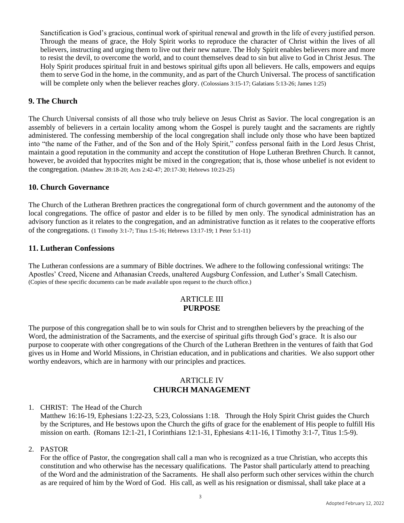Sanctification is God's gracious, continual work of spiritual renewal and growth in the life of every justified person. Through the means of grace, the Holy Spirit works to reproduce the character of Christ within the lives of all believers, instructing and urging them to live out their new nature. The Holy Spirit enables believers more and more to resist the devil, to overcome the world, and to count themselves dead to sin but alive to God in Christ Jesus. The Holy Spirit produces spiritual fruit in and bestows spiritual gifts upon all believers. He calls, empowers and equips them to serve God in the home, in the community, and as part of the Church Universal. The process of sanctification will be complete only when the believer reaches glory. (Colossians 3:15-17; Galatians 5:13-26; James 1:25)

# **9. The Church**

The Church Universal consists of all those who truly believe on Jesus Christ as Savior. The local congregation is an assembly of believers in a certain locality among whom the Gospel is purely taught and the sacraments are rightly administered. The confessing membership of the local congregation shall include only those who have been baptized into "the name of the Father, and of the Son and of the Holy Spirit," confess personal faith in the Lord Jesus Christ, maintain a good reputation in the community and accept the constitution of Hope Lutheran Brethren Church. It cannot, however, be avoided that hypocrites might be mixed in the congregation; that is, those whose unbelief is not evident to the congregation. (Matthew 28:18-20; Acts 2:42-47; 20:17-30; Hebrews 10:23-25)

# **10. Church Governance**

The Church of the Lutheran Brethren practices the congregational form of church government and the autonomy of the local congregations. The office of pastor and elder is to be filled by men only. The synodical administration has an advisory function as it relates to the congregation, and an administrative function as it relates to the cooperative efforts of the congregations. (1 Timothy 3:1-7; Titus 1:5-16; Hebrews 13:17-19; 1 Peter 5:1-11)

#### **11. Lutheran Confessions**

The Lutheran confessions are a summary of Bible doctrines. We adhere to the following confessional writings: The Apostles' Creed, Nicene and Athanasian Creeds, unaltered Augsburg Confession, and Luther's Small Catechism. (Copies of these specific documents can be made available upon request to the church office.)

# ARTICLE III **PURPOSE**

The purpose of this congregation shall be to win souls for Christ and to strengthen believers by the preaching of the Word, the administration of the Sacraments, and the exercise of spiritual gifts through God's grace. It is also our purpose to cooperate with other congregations of the Church of the Lutheran Brethren in the ventures of faith that God gives us in Home and World Missions, in Christian education, and in publications and charities. We also support other worthy endeavors, which are in harmony with our principles and practices.

# ARTICLE IV **CHURCH MANAGEMENT**

#### 1. CHRIST: The Head of the Church

Matthew 16:16-19, Ephesians 1:22-23, 5:23, Colossians 1:18. Through the Holy Spirit Christ guides the Church by the Scriptures, and He bestows upon the Church the gifts of grace for the enablement of His people to fulfill His mission on earth. (Romans 12:1-21, I Corinthians 12:1-31, Ephesians 4:11-16, I Timothy 3:1-7, Titus 1:5-9).

#### 2. PASTOR

For the office of Pastor, the congregation shall call a man who is recognized as a true Christian, who accepts this constitution and who otherwise has the necessary qualifications. The Pastor shall particularly attend to preaching of the Word and the administration of the Sacraments. He shall also perform such other services within the church as are required of him by the Word of God. His call, as well as his resignation or dismissal, shall take place at a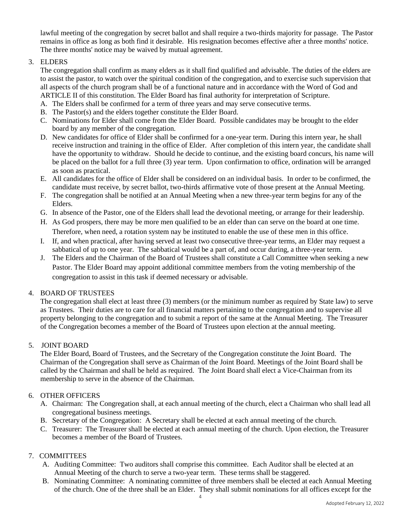lawful meeting of the congregation by secret ballot and shall require a two-thirds majority for passage. The Pastor remains in office as long as both find it desirable. His resignation becomes effective after a three months' notice. The three months' notice may be waived by mutual agreement.

# 3. ELDERS

The congregation shall confirm as many elders as it shall find qualified and advisable. The duties of the elders are to assist the pastor, to watch over the spiritual condition of the congregation, and to exercise such supervision that all aspects of the church program shall be of a functional nature and in accordance with the Word of God and ARTICLE II of this constitution. The Elder Board has final authority for interpretation of Scripture.

- A. The Elders shall be confirmed for a term of three years and may serve consecutive terms.
- B. The Pastor(s) and the elders together constitute the Elder Board.
- C. Nominations for Elder shall come from the Elder Board. Possible candidates may be brought to the elder board by any member of the congregation.
- D. New candidates for office of Elder shall be confirmed for a one-year term. During this intern year, he shall receive instruction and training in the office of Elder. After completion of this intern year, the candidate shall have the opportunity to withdraw. Should he decide to continue, and the existing board concurs, his name will be placed on the ballot for a full three (3) year term. Upon confirmation to office, ordination will be arranged as soon as practical.
- E. All candidates for the office of Elder shall be considered on an individual basis. In order to be confirmed, the candidate must receive, by secret ballot, two-thirds affirmative vote of those present at the Annual Meeting.
- F. The congregation shall be notified at an Annual Meeting when a new three-year term begins for any of the Elders.
- G. In absence of the Pastor, one of the Elders shall lead the devotional meeting, or arrange for their leadership.
- H. As God prospers, there may be more men qualified to be an elder than can serve on the board at one time. Therefore, when need, a rotation system nay be instituted to enable the use of these men in this office.
- I. If, and when practical, after having served at least two consecutive three-year terms, an Elder may request a sabbatical of up to one year. The sabbatical would be a part of, and occur during, a three-year term.
- J. The Elders and the Chairman of the Board of Trustees shall constitute a Call Committee when seeking a new Pastor. The Elder Board may appoint additional committee members from the voting membership of the congregation to assist in this task if deemed necessary or advisable.

#### 4. BOARD OF TRUSTEES

The congregation shall elect at least three (3) members (or the minimum number as required by State law) to serve as Trustees. Their duties are to care for all financial matters pertaining to the congregation and to supervise all property belonging to the congregation and to submit a report of the same at the Annual Meeting. The Treasurer of the Congregation becomes a member of the Board of Trustees upon election at the annual meeting.

#### 5. JOINT BOARD

The Elder Board, Board of Trustees, and the Secretary of the Congregation constitute the Joint Board. The Chairman of the Congregation shall serve as Chairman of the Joint Board. Meetings of the Joint Board shall be called by the Chairman and shall be held as required. The Joint Board shall elect a Vice-Chairman from its membership to serve in the absence of the Chairman.

#### 6. OTHER OFFICERS

- A. Chairman: The Congregation shall*,* at each annual meeting of the church, elect a Chairman who shall lead all congregational business meetings.
- B. Secretary of the Congregation: A Secretary shall be elected at each annual meeting of the church.
- C. Treasurer: The Treasurer shall be elected at each annual meeting of the church. Upon election, the Treasurer becomes a member of the Board of Trustees.

# 7. COMMITTEES

- A. Auditing Committee: Two auditors shall comprise this committee. Each Auditor shall be elected at an Annual Meeting of the church to serve a two-year term. These terms shall be staggered.
- B. Nominating Committee: A nominating committee of three members shall be elected at each Annual Meeting of the church. One of the three shall be an Elder. They shall submit nominations for all offices except for the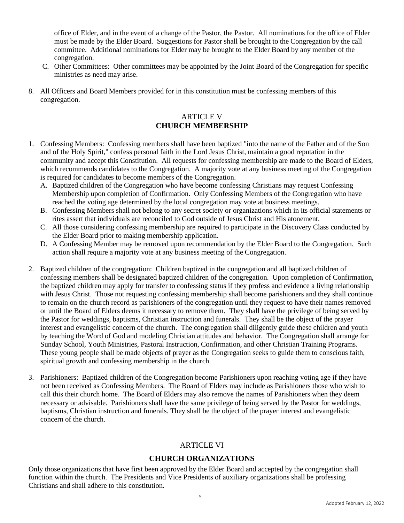office of Elder, and in the event of a change of the Pastor, the Pastor. All nominations for the office of Elder must be made by the Elder Board. Suggestions for Pastor shall be brought to the Congregation by the call committee. Additional nominations for Elder may be brought to the Elder Board by any member of the congregation.

- C. Other Committees: Other committees may be appointed by the Joint Board of the Congregation for specific ministries as need may arise.
- 8. All Officers and Board Members provided for in this constitution must be confessing members of this congregation.

# ARTICLE V **CHURCH MEMBERSHIP**

- 1. Confessing Members: Confessing members shall have been baptized "into the name of the Father and of the Son and of the Holy Spirit," confess personal faith in the Lord Jesus Christ, maintain a good reputation in the community and accept this Constitution. All requests for confessing membership are made to the Board of Elders, which recommends candidates to the Congregation. A majority vote at any business meeting of the Congregation is required for candidates to become members of the Congregation.
	- A. Baptized children of the Congregation who have become confessing Christians may request Confessing Membership upon completion of Confirmation. Only Confessing Members of the Congregation who have reached the voting age determined by the local congregation may vote at business meetings.
	- B. Confessing Members shall not belong to any secret society or organizations which in its official statements or rites assert that individuals are reconciled to God outside of Jesus Christ and His atonement.
	- C. All those considering confessing membership are required to participate in the Discovery Class conducted by the Elder Board prior to making membership application.
	- D. A Confessing Member may be removed upon recommendation by the Elder Board to the Congregation. Such action shall require a majority vote at any business meeting of the Congregation.
- 2. Baptized children of the congregation: Children baptized in the congregation and all baptized children of confessing members shall be designated baptized children of the congregation. Upon completion of Confirmation, the baptized children may apply for transfer to confessing status if they profess and evidence a living relationship with Jesus Christ. Those not requesting confessing membership shall become parishioners and they shall continue to remain on the church record as parishioners of the congregation until they request to have their names removed or until the Board of Elders deems it necessary to remove them. They shall have the privilege of being served by the Pastor for weddings, baptisms, Christian instruction and funerals. They shall be the object of the prayer interest and evangelistic concern of the church. The congregation shall diligently guide these children and youth by teaching the Word of God and modeling Christian attitudes and behavior. The Congregation shall arrange for Sunday School, Youth Ministries, Pastoral Instruction, Confirmation, and other Christian Training Programs. These young people shall be made objects of prayer as the Congregation seeks to guide them to conscious faith, spiritual growth and confessing membership in the church.
- 3. Parishioners: Baptized children of the Congregation become Parishioners upon reaching voting age if they have not been received as Confessing Members. The Board of Elders may include as Parishioners those who wish to call this their church home. The Board of Elders may also remove the names of Parishioners when they deem necessary or advisable. Parishioners shall have the same privilege of being served by the Pastor for weddings, baptisms, Christian instruction and funerals. They shall be the object of the prayer interest and evangelistic concern of the church.

# **ARTICLE VI**

# **CHURCH ORGANIZATIONS**

Only those organizations that have first been approved by the Elder Board and accepted by the congregation shall function within the church. The Presidents and Vice Presidents of auxiliary organizations shall be professing Christians and shall adhere to this constitution.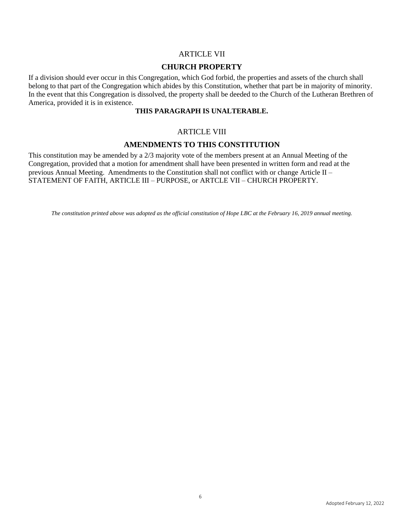#### ARTICLE VII

#### **CHURCH PROPERTY**

If a division should ever occur in this Congregation, which God forbid, the properties and assets of the church shall belong to that part of the Congregation which abides by this Constitution, whether that part be in majority of minority. In the event that this Congregation is dissolved, the property shall be deeded to the Church of the Lutheran Brethren of America, provided it is in existence*.* 

#### **THIS PARAGRAPH IS UNALTERABLE.**

#### ARTICLE VIII

#### **AMENDMENTS TO THIS CONSTITUTION**

This constitution may be amended by a 2/3 majority vote of the members present at an Annual Meeting of the Congregation, provided that a motion for amendment shall have been presented in written form and read at the previous Annual Meeting. Amendments to the Constitution shall not conflict with or change Article II – STATEMENT OF FAITH, ARTICLE III – PURPOSE, or ARTCLE VII – CHURCH PROPERTY.

*The constitution printed above was adopted as the official constitution of Hope LBC at the February 16, 2019 annual meeting.*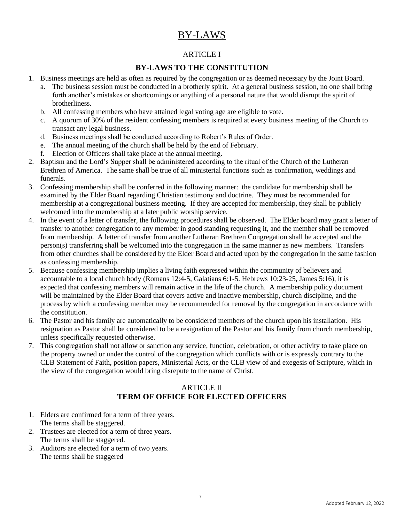# BY-LAWS

# ARTICLE I

# **BY-LAWS TO THE CONSTITUTION**

- 1. Business meetings are held as often as required by the congregation or as deemed necessary by the Joint Board.
	- a. The business session must be conducted in a brotherly spirit. At a general business session, no one shall bring forth another's mistakes or shortcomings or anything of a personal nature that would disrupt the spirit of brotherliness.
	- b. All confessing members who have attained legal voting age are eligible to vote.
	- c. A quorum of 30% of the resident confessing members is required at every business meeting of the Church to transact any legal business.
	- d. Business meetings shall be conducted according to Robert's Rules of Order.
	- e. The annual meeting of the church shall be held by the end of February.
	- f. Election of Officers shall take place at the annual meeting.
- 2. Baptism and the Lord's Supper shall be administered according to the ritual of the Church of the Lutheran Brethren of America. The same shall be true of all ministerial functions such as confirmation, weddings and funerals.
- 3. Confessing membership shall be conferred in the following manner: the candidate for membership shall be examined by the Elder Board regarding Christian testimony and doctrine. They must be recommended for membership at a congregational business meeting. If they are accepted for membership, they shall be publicly welcomed into the membership at a later public worship service.
- 4. In the event of a letter of transfer, the following procedures shall be observed. The Elder board may grant a letter of transfer to another congregation to any member in good standing requesting it, and the member shall be removed from membership. A letter of transfer from another Lutheran Brethren Congregation shall be accepted and the person(s) transferring shall be welcomed into the congregation in the same manner as new members. Transfers from other churches shall be considered by the Elder Board and acted upon by the congregation in the same fashion as confessing membership.
- 5. Because confessing membership implies a living faith expressed within the community of believers and accountable to a local church body (Romans 12:4-5, Galatians 6:1-5. Hebrews 10:23-25, James 5:16), it is expected that confessing members will remain active in the life of the church. A membership policy document will be maintained by the Elder Board that covers active and inactive membership, church discipline, and the process by which a confessing member may be recommended for removal by the congregation in accordance with the constitution.
- 6. The Pastor and his family are automatically to be considered members of the church upon his installation. His resignation as Pastor shall be considered to be a resignation of the Pastor and his family from church membership, unless specifically requested otherwise.
- 7. This congregation shall not allow or sanction any service, function, celebration, or other activity to take place on the property owned or under the control of the congregation which conflicts with or is expressly contrary to the CLB Statement of Faith, position papers, Ministerial Acts, or the CLB view of and exegesis of Scripture, which in the view of the congregation would bring disrepute to the name of Christ.

# ARTICLE II **TERM OF OFFICE FOR ELECTED OFFICERS**

- 1. Elders are confirmed for a term of three years. The terms shall be staggered.
- 2. Trustees are elected for a term of three years. The terms shall be staggered.
- 3. Auditors are elected for a term of two years. The terms shall be staggered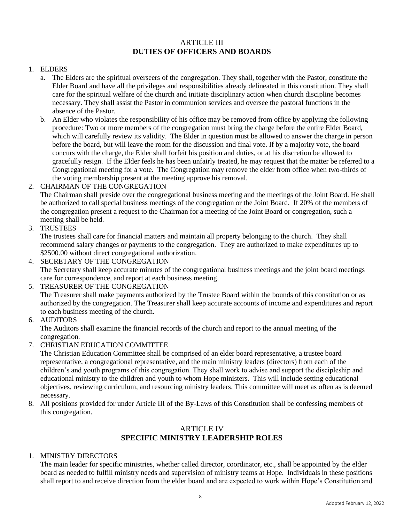# ARTICLE III **DUTIES OF OFFICERS AND BOARDS**

#### 1. ELDERS

- a. The Elders are the spiritual overseers of the congregation. They shall, together with the Pastor, constitute the Elder Board and have all the privileges and responsibilities already delineated in this constitution. They shall care for the spiritual welfare of the church and initiate disciplinary action when church discipline becomes necessary. They shall assist the Pastor in communion services and oversee the pastoral functions in the absence of the Pastor.
- b. An Elder who violates the responsibility of his office may be removed from office by applying the following procedure: Two or more members of the congregation must bring the charge before the entire Elder Board, which will carefully review its validity. The Elder in question must be allowed to answer the charge in person before the board, but will leave the room for the discussion and final vote. If by a majority vote, the board concurs with the charge, the Elder shall forfeit his position and duties, or at his discretion be allowed to gracefully resign. If the Elder feels he has been unfairly treated, he may request that the matter be referred to a Congregational meeting for a vote. The Congregation may remove the elder from office when two-thirds of the voting membership present at the meeting approve his removal.

#### 2. CHAIRMAN OF THE CONGREGATION

The Chairman shall preside over the congregational business meeting and the meetings of the Joint Board. He shall be authorized to call special business meetings of the congregation or the Joint Board. If 20% of the members of the congregation present a request to the Chairman for a meeting of the Joint Board or congregation, such a meeting shall be held.

3. TRUSTEES

The trustees shall care for financial matters and maintain all property belonging to the church. They shall recommend salary changes or payments to the congregation. They are authorized to make expenditures up to \$2500.00 without direct congregational authorization.

4. SECRETARY OF THE CONGREGATION

The Secretary shall keep accurate minutes of the congregational business meetings and the joint board meetings care for correspondence, and report at each business meeting.

5. TREASURER OF THE CONGREGATION

The Treasurer shall make payments authorized by the Trustee Board within the bounds of this constitution or as authorized by the congregation. The Treasurer shall keep accurate accounts of income and expenditures and report to each business meeting of the church.

6. AUDITORS

The Auditors shall examine the financial records of the church and report to the annual meeting of the congregation.

7. CHRISTIAN EDUCATION COMMITTEE

The Christian Education Committee shall be comprised of an elder board representative, a trustee board representative, a congregational representative, and the main ministry leaders (directors) from each of the children's and youth programs of this congregation. They shall work to advise and support the discipleship and educational ministry to the children and youth to whom Hope ministers. This will include setting educational objectives, reviewing curriculum, and resourcing ministry leaders. This committee will meet as often as is deemed necessary.

8. All positions provided for under Article III of the By-Laws of this Constitution shall be confessing members of this congregation.

# ARTICLE IV **SPECIFIC MINISTRY LEADERSHIP ROLES**

#### 1. MINISTRY DIRECTORS

The main leader for specific ministries, whether called director, coordinator, etc., shall be appointed by the elder board as needed to fulfill ministry needs and supervision of ministry teams at Hope. Individuals in these positions shall report to and receive direction from the elder board and are expected to work within Hope's Constitution and